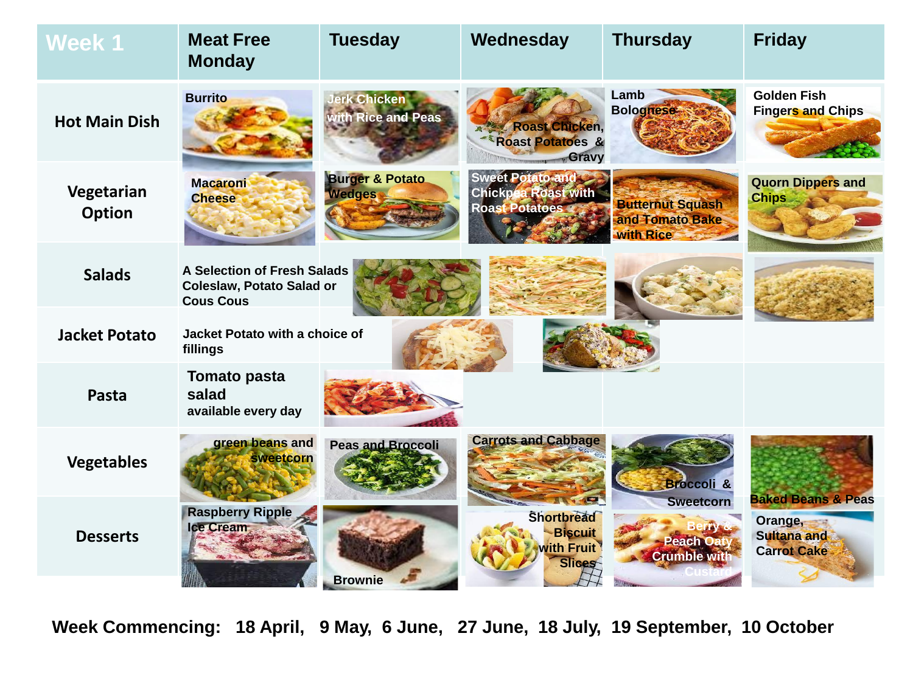| Week 1                      | <b>Meat Free</b><br><b>Monday</b>                                            | <b>Tuesday</b>                              | Wednesday                                                                        | <b>Thursday</b>                                         | <b>Friday</b>                                       |
|-----------------------------|------------------------------------------------------------------------------|---------------------------------------------|----------------------------------------------------------------------------------|---------------------------------------------------------|-----------------------------------------------------|
| <b>Hot Main Dish</b>        | <b>Burrito</b>                                                               | <b>Jerk Chicken</b><br>with Rice and Peas   | <b>Roast Chicken,</b><br><b>Roast Potatoes &amp;</b><br>Gravy                    | Lamb<br><b>Bolognese</b>                                | <b>Golden Fish</b><br><b>Fingers and Chips</b>      |
| Vegetarian<br><b>Option</b> | <b>Macaroni</b><br><b>Cheese</b>                                             | <b>Burger &amp; Potato</b><br><b>Wedges</b> | <b>Sweet Potato and L</b><br><b>Chickpea Roast with</b><br><b>Roast Potatoes</b> | <b>Butternut Squash</b><br>and Tomato Bake<br>with Rice | <b>Quorn Dippers and</b><br><b>Chips</b>            |
| <b>Salads</b>               | A Selection of Fresh Salads<br>Coleslaw, Potato Salad or<br><b>Cous Cous</b> |                                             |                                                                                  |                                                         |                                                     |
| <b>Jacket Potato</b>        | Jacket Potato with a choice of<br>fillings                                   |                                             |                                                                                  |                                                         |                                                     |
| Pasta                       | <b>Tomato pasta</b><br>salad<br>available every day                          |                                             |                                                                                  |                                                         |                                                     |
| <b>Vegetables</b>           | green beans and<br>sweetcorn                                                 | <b>Peas and Broccoli</b>                    | <b>Carrots and Cabbage</b><br><b>AVER</b>                                        | <b>Broccoli &amp;</b><br><b>Sweetcorn</b>               | <b>Baked Beans &amp; Peas</b>                       |
| <b>Desserts</b>             | <b>Raspberry Ripple</b><br>Ice Cream                                         | <b>Brownie</b>                              | <b>Shortbread</b><br><b>Biscuit</b><br><b>with Fruit</b><br>Slices               | <b>Peach Oaty</b><br><b>Crumble with</b>                | Orange,<br><b>Sultana and</b><br><b>Carrot Cake</b> |

**Week Commencing: 18 April, 9 May, 6 June, 27 June, 18 July, 19 September, 10 October**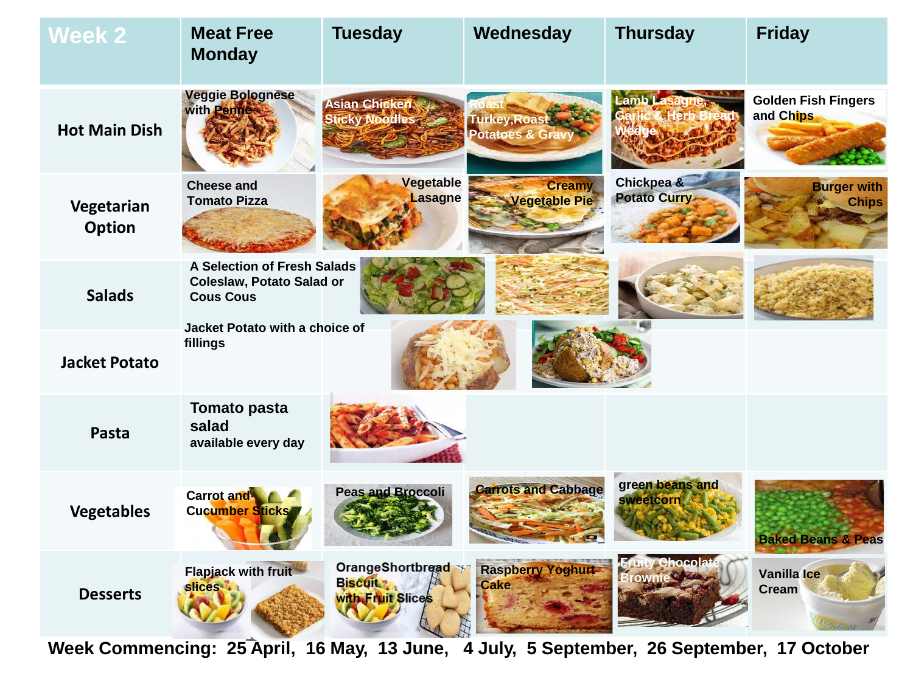| <b>Week 2</b>        | <b>Meat Free</b><br><b>Monday</b>                                                          | <b>Tuesday</b>                                           | Wednesday                                    | <b>Thursday</b>                           | <b>Friday</b>                           |
|----------------------|--------------------------------------------------------------------------------------------|----------------------------------------------------------|----------------------------------------------|-------------------------------------------|-----------------------------------------|
| <b>Hot Main Dish</b> | <b>Veggie Bolognese</b><br>with Penne                                                      | <b>Asian Chicken</b><br><b>Sticky Noodles</b>            | Turkey, Roast<br><b>Potatoes &amp; Gravy</b> | <b>Lamb</b> L                             | <b>Golden Fish Fingers</b><br>and Chips |
| Vegetarian<br>Option | <b>Cheese and</b><br><b>Tomato Pizza</b>                                                   | Vegetable<br>Lasagne                                     | <b>Creamy</b><br><b>Vegetable Pie</b>        | Chickpea &<br>Potato Curry                | <b>Burger with</b><br><b>Chips</b>      |
| <b>Salads</b>        | <b>A Selection of Fresh Salads</b><br><b>Coleslaw, Potato Salad or</b><br><b>Cous Cous</b> |                                                          |                                              |                                           |                                         |
| <b>Jacket Potato</b> | Jacket Potato with a choice of<br>fillings                                                 |                                                          |                                              |                                           |                                         |
| Pasta                | <b>Tomato pasta</b><br>salad<br>available every day                                        |                                                          |                                              |                                           |                                         |
| <b>Vegetables</b>    | <b>Carrot</b> and<br><b>Cucumber Sticks</b>                                                | Peas and Broccoli                                        | <b>Carrots and Cabbage</b>                   | green beans and<br><b>sweetcorn</b>       | <b>Baked Beans &amp; Peas</b>           |
| <b>Desserts</b>      | Flapjack with fruit<br><b>slices</b>                                                       | OrangeShortbread<br><b>Biscuits</b><br>with Fruit Slices | <b>Raspberry Yoghurt</b><br><b>Cake</b>      | <b>Fruity Chocolate</b><br><b>Brownie</b> | Vanilla Ice<br>Cream                    |

**Week Commencing: 25 April, 16 May, 13 June, 4 July, 5 September, 26 September, 17 October**